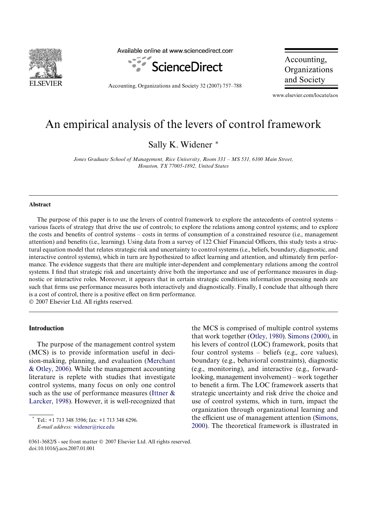

Available online at www.sciencedirect.com



Accounting, Organizations and Society 32 (2007) 757–788

Accounting, Organizations and Society

www.elsevier.com/locate/aos

## An empirical analysis of the levers of control framework

Sally K. Widener \*

*Jones Graduate School of Management, Rice University, Room 331 – MS 531, 6100 Main Street, Houston, TX 77005-1892, United States*

## **Abstract**

The purpose of this paper is to use the levers of control framework to explore the antecedents of control systems – various facets of strategy that drive the use of controls; to explore the relations among control systems; and to explore the costs and benefits of control systems – costs in terms of consumption of a constrained resource (i.e., management attention) and benefits (i.e., learning). Using data from a survey of 122 Chief Financial Officers, this study tests a structural equation model that relates strategic risk and uncertainty to control systems (i.e., beliefs, boundary, diagnostic, and interactive control systems), which in turn are hypothesized to affect learning and attention, and ultimately firm performance. The evidence suggests that there are multiple inter-dependent and complementary relations among the control systems. I find that strategic risk and uncertainty drive both the importance and use of performance measures in diagnostic or interactive roles. Moreover, it appears that in certain strategic conditions information processing needs are such that firms use performance measures both interactively and diagnostically. Finally, I conclude that although there is a cost of control, there is a positive effect on firm performance. © 2007 Elsevier Ltd. All rights reserved.

## **Introduction**

The purpose of the management control system (MCS) is to provide information useful in decision-making, planning, and evaluation [\(Merchant](#page--1-0) [& Otley, 2006](#page--1-0)). While the management accounting literature is replete with studies that investigate control systems, many focus on only one control such as the use of performance measures [\(Ittner &](#page--1-1) [Larcker, 1998](#page--1-1)). However, it is well-recognized that

Tel.: +1 713 348 3596; fax: +1 713 348 6296. *E-mail address:* [widener@rice.edu](mailto: widener@rice.edu)

the MCS is comprised of multiple control systems that work together ([Otley, 1980\)](#page--1-2). [Simons \(2000\)](#page--1-3), in his levers of control (LOC) framework, posits that four control systems – beliefs (e.g., core values), boundary (e.g., behavioral constraints), diagnostic (e.g., monitoring), and interactive (e.g., forwardlooking, management involvement) – work together to benefit a firm. The LOC framework asserts that strategic uncertainty and risk drive the choice and use of control systems, which in turn, impact the organization through organizational learning and the efficient use of management attention ([Simons,](#page--1-3) [2000\)](#page--1-3). The theoretical framework is illustrated in

<sup>0361-3682/\$ -</sup> see front matter © 2007 Elsevier Ltd. All rights reserved. doi:10.1016/j.aos.2007.01.001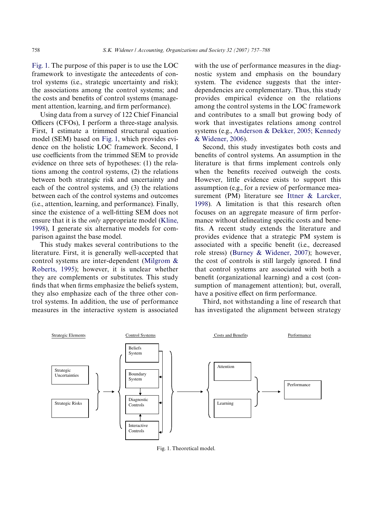[Fig. 1.](#page-1-0) The purpose of this paper is to use the LOC framework to investigate the antecedents of control systems (i.e., strategic uncertainty and risk); the associations among the control systems; and the costs and benefits of control systems (management attention, learning, and firm performance).

Using data from a survey of 122 Chief Financial Officers (CFOs), I perform a three-stage analysis. First, I estimate a trimmed structural equation model (SEM) based on [Fig. 1,](#page-1-0) which provides evidence on the holistic LOC framework. Second, I use coefficients from the trimmed SEM to provide evidence on three sets of hypotheses: (1) the relations among the control systems, (2) the relations between both strategic risk and uncertainty and each of the control systems, and (3) the relations between each of the control systems and outcomes (i.e., attention, learning, and performance). Finally, since the existence of a well-fitting SEM does not ensure that it is the *only* appropriate model ([Kline,](#page--1-4) [1998\)](#page--1-4), I generate six alternative models for comparison against the base model.

This study makes several contributions to the literature. First, it is generally well-accepted that control systems are inter-dependent [\(Milgrom &](#page--1-5) [Roberts, 1995\)](#page--1-5); however, it is unclear whether they are complements or substitutes. This study finds that when firms emphasize the beliefs system, they also emphasize each of the three other control systems. In addition, the use of performance measures in the interactive system is associated with the use of performance measures in the diagnostic system and emphasis on the boundary system. The evidence suggests that the interdependencies are complementary. Thus, this study provides empirical evidence on the relations among the control systems in the LOC framework and contributes to a small but growing body of work that investigates relations among control systems (e.g., [Anderson & Dekker, 2005; Kennedy](#page--1-6) [& Widener, 2006](#page--1-6)).

Second, this study investigates both costs and benefits of control systems. An assumption in the literature is that firms implement controls only when the benefits received outweigh the costs. However, little evidence exists to support this assumption (e.g., for a review of performance measurement (PM) literature see [Ittner & Larcker,](#page--1-1) [1998](#page--1-1)). A limitation is that this research often focuses on an aggregate measure of firm performance without delineating specific costs and benefits. A recent study extends the literature and provides evidence that a strategic PM system is associated with a specific benefit (i.e., decreased role stress) ([Burney & Widener, 2007](#page--1-7)); however, the cost of controls is still largely ignored. I find that control systems are associated with both a benefit (organizational learning) and a cost (consumption of management attention); but, overall, have a positive effect on firm performance.

Third, not withstanding a line of research that has investigated the alignment between strategy

<span id="page-1-0"></span>

Fig. 1. Theoretical model.